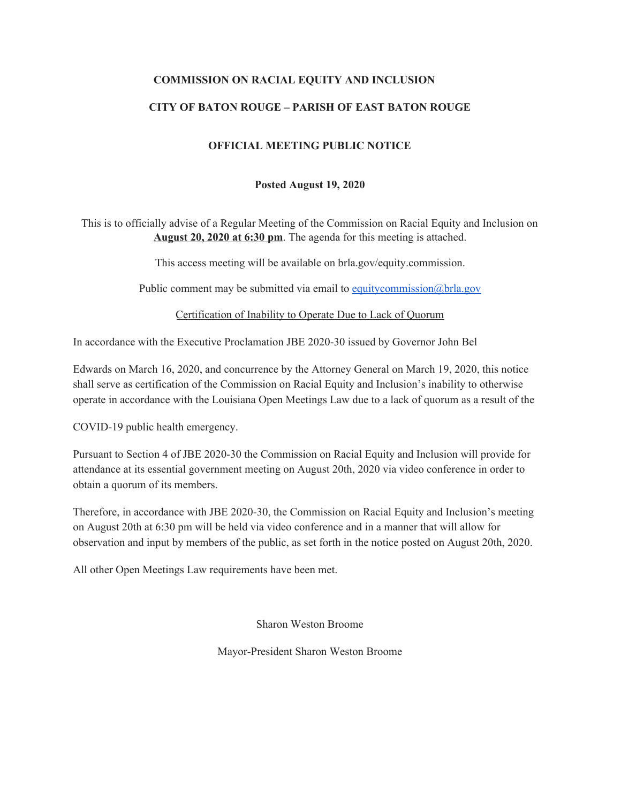#### **COMMISSION ON RACIAL EQUITY AND INCLUSION**

### **CITY OF BATON ROUGE – PARISH OF EAST BATON ROUGE**

### **OFFICIAL MEETING PUBLIC NOTICE**

### **Posted August 19, 2020**

This is to officially advise of a Regular Meeting of the Commission on Racial Equity and Inclusion on **August 20, 2020 at 6:30 pm**. The agenda for this meeting is attached.

This access meeting will be available on brla.gov/equity.commission.

Public comment may be submitted via email to [equitycommission@brla.gov](mailto:equitycommission@brla.gov)

Certification of Inability to Operate Due to Lack of Quorum

In accordance with the Executive Proclamation JBE 2020-30 issued by Governor John Bel

Edwards on March 16, 2020, and concurrence by the Attorney General on March 19, 2020, this notice shall serve as certification of the Commission on Racial Equity and Inclusion's inability to otherwise operate in accordance with the Louisiana Open Meetings Law due to a lack of quorum as a result of the

COVID-19 public health emergency.

Pursuant to Section 4 of JBE 2020-30 the Commission on Racial Equity and Inclusion will provide for attendance at its essential government meeting on August 20th, 2020 via video conference in order to obtain a quorum of its members.

Therefore, in accordance with JBE 2020-30, the Commission on Racial Equity and Inclusion's meeting on August 20th at 6:30 pm will be held via video conference and in a manner that will allow for observation and input by members of the public, as set forth in the notice posted on August 20th, 2020.

All other Open Meetings Law requirements have been met.

Sharon Weston Broome

Mayor-President Sharon Weston Broome